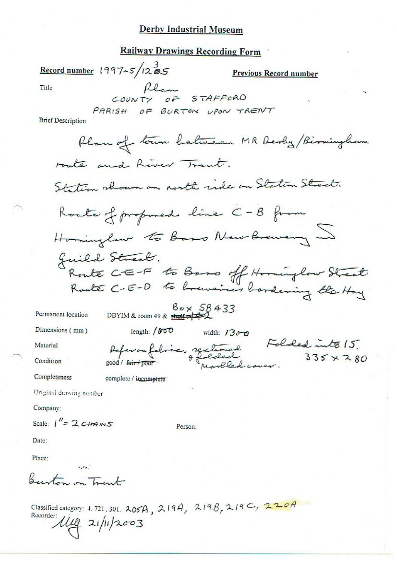# **Railway Drawings Recording Form**

Record number  $1997 - 5/1285$ Previous Record number Flam STAFFORD Title PARISH OF BURTON UPON TRENT **Brief Description** Plan of town between MR Derby/Birmingham route and River Trent. Station shown an north ride on Station Street. Route of proposed line C-B from Hominglaw to Base New Brewery Juild Street.<br>Route CE-F to Baro off Hominglow Street  $B_{\sigma} \times SB$  433<br>DBYIM & room 49 & short +42 Permanent location Dimensions (mm) length: / 600 width:  $1300$ Poferonfolice, rectionnel Folded into 15.<br>sood/fairtpoor bedecked 335 x 280 Material Condition Completeness complete / incomplete Original drawing number Company: Scale:  $I'' = 2 CHANS$ Person:

Date:

Place:

Burton on Trant

 $1.11$ 

Classified category: 4.721.301.  $205A$ ,  $219A$ ,  $219B$ ,  $219C$ ,  $220A$ Recorder: 1119 21/11/2003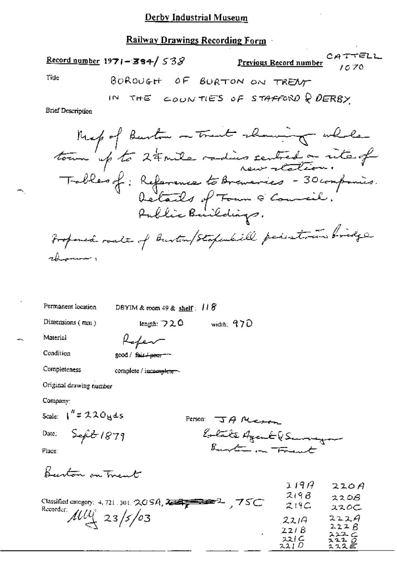# Railway Drawings Recording Form

|                   | $\frac{\text{Record number}}{\text{1971}-\text{384}}$ / 53 $\beta$ | Previous Record number $\begin{array}{c} CA & \tau \vdash \text{ELL} \\ 10 & 70 \end{array}$ |  |
|-------------------|--------------------------------------------------------------------|----------------------------------------------------------------------------------------------|--|
| Title             | BOROUGH OF BORTON ON TRENT                                         |                                                                                              |  |
|                   | IN THE COUNTIES OF STAFFORD Q DERBY                                |                                                                                              |  |
| Brief Description |                                                                    |                                                                                              |  |
|                   | Mexpof Burton on Trent showing while                               |                                                                                              |  |
|                   |                                                                    |                                                                                              |  |
|                   | tour up to 24 mile radius centred on rite of                       |                                                                                              |  |
|                   |                                                                    | betails of Town & Council.<br>Public Buildings.                                              |  |
|                   | Proponed roals of Burton/Stapenhill peristories bridge             |                                                                                              |  |
| rhomme,           |                                                                    |                                                                                              |  |
|                   |                                                                    |                                                                                              |  |

Permanent location

DBYIM & room 49 & shelf: 118

Dimensions (mm)

length: 720 width: 970

Material

Refer good / fair / pear --

Condition Completeness

complete / incomplete

Original drawing number

Company:

Scale:  $1'' = 220yds$ 

Date: Sefeb 1879

Person: JA Mason Eolate Agent & Surveyor

Place:

Burton on Trent

| 75C<br>Classified category: 4, 721, 301, 20 SA, 20 SH 200202020 | 1.197<br>2198<br>219C         | 220A<br>220B<br>ススのこ                 |
|-----------------------------------------------------------------|-------------------------------|--------------------------------------|
| Recorder: $\mu\mu$ 23/5/03                                      | 2214<br>22/8<br>221 C<br>221D | 222A<br>222B<br>スエユー<br>2200<br>ュススピ |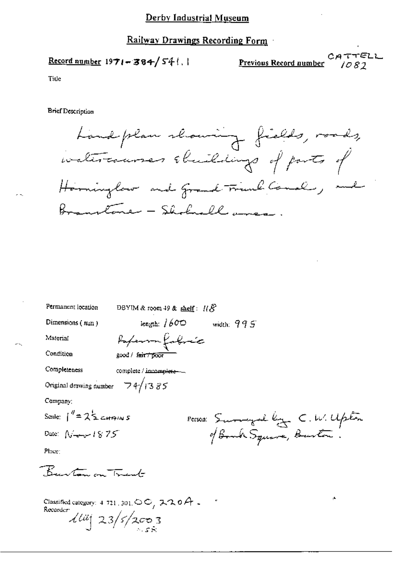Record number  $1971 - 384 / 54$ .

CATTELL Previous Record number  $1082$ 

ŗĿ.

Title

**Brief Description** 

Permanent location

Landplan showing fields, roads, ivatercourses shuildings of parts of Horninglow and Grand Trunk Conal, and Branstone - Shokuell amen-

length:  $1600$  width:  $995$ Dimensions (mm) Paperson fabric Material Condition good / fair / poor Completeness complete / incomplete --Original drawing number  $74/1385$ Company: Scale:  $1'' = 2\frac{1}{2}$  catains Person: Surveyal by C.W. Upton of Book Square, Barton. Date:  $N \rightarrow 1875$ Place: Burton on Trust

DBYIM & room 49 & shelf:  $\mathcal{H}\mathcal{S}^2$ 

Classified category:  $4\ 721$ ,  $301$ ,  $\circledcirc$   $\circ$ ,  $\circledast$   $\circ$   $\circ$   $\circ$   $\circ$   $\circ$   $\circ$   $\circ$ Recorder<sup>.</sup>  $\frac{1}{4}$  23/5/2003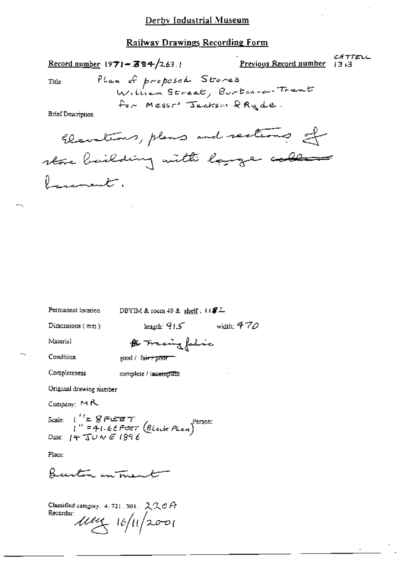CATTELL  $\frac{\text{Record number}}{197!} = 384/263.1$ Previous Record number 13:3 Plan of proposed Stores William Street, Burton-ou-Trent for Messr' Jackson & Ryde. **Brief Description** Elevations, plans and rections of store building with large collecte

width:  $470$ 

Title

 $\ell$  , a summer that  $\cdot$ 

Permanent location

DBYIM & room  $49$  & shelf:  $1182$ 

length:  $915$ 

Dimensions (mm)

Material

Completeness

Condition

& Tracingfalsic good / fair+poor

complete / incomplete

Original drawing number

Company: MR

Scale:  $\begin{array}{ll} \text{Scale:} & \text{if } 1 \leq 8 \in \text{ker } 7 \\ & \text{if } 1 \leq 4 \text{ if } 6 \in \text{Per} 7 \text{ (Block } P \text{Lan}) \end{array}$ <br>Date:  $\begin{array}{ll} \text{Per} & \text{for } 1896 \text{ E} \end{array}$ 

Place:

Burton in mante

Classified category, 4, 721, 501,  $220A$ Recorder:  $\mu$ ey 16/11/2001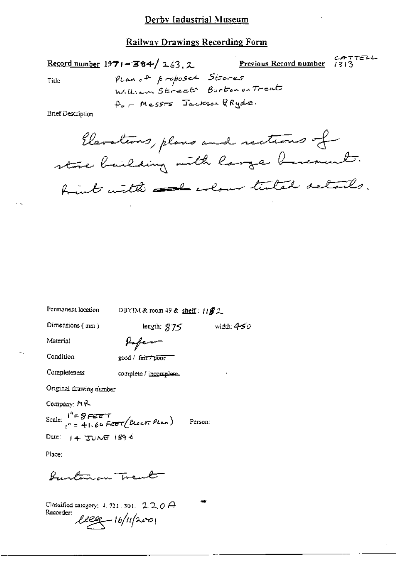CATTELL<br>Previous Record number 1313 Record number  $1971 - 384 / 263$ , 2 PLanc<sup>+</sup> proposed Stores Tide William Street Burton on Trent  $A_{\nu}$  - Mess-s Jackson GRyde.

**Brief Description** 

Elevations, plans and rections of store bailding with large breament. trint with all colour tented details.

Permanent location

DBYIM & room 49 & shelf:  $H\mathbf{f}2$ 

length;  $975$ 

Dimensions (mm)

width:  $450$ 

Material

Condition

Completeness

Infern good / fair / poor

complete / incomplete.

Original drawing number

Company: MR

Scale:  $i^4 = 8$ FEET<br> $i^6 = 41.66$ FEET(BLOCK PLAN) Person: Date:  $14.7000$  1896

Place:

Bustinson Trent

Classified category:  $4.721.301.$   $2.20$   $\varTheta$ Recorder:  $lleg - 16/11/2001$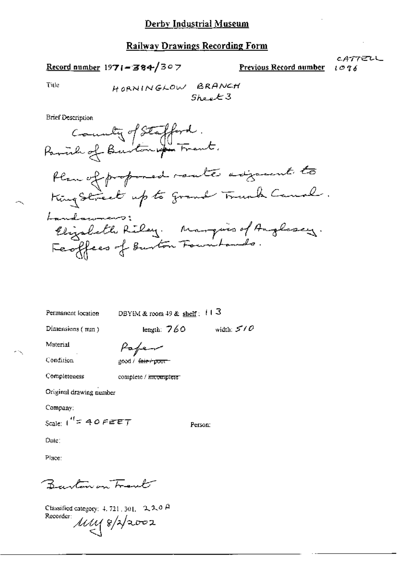Record number 1971-384/307

CATTELL Previous Record number  $1096$ 

Title

**Brief Description** 



Permanent location

DBYIM & room 49 & shelf:  $113$ 

Dimensions  $(mn)$ 

length:  $760$  width:  $570$ 

Material

Condition

Completeness

Paper

complete / incomplete

200d / fair / poor

Original drawing number

Company:

Scale:  $1^{4}$  = 40 FEET

Person:

Date:

Place:

Brenton on Frank

Classified category: 4, 721, 301, 2, 2, 0  $\beta$ Recorder: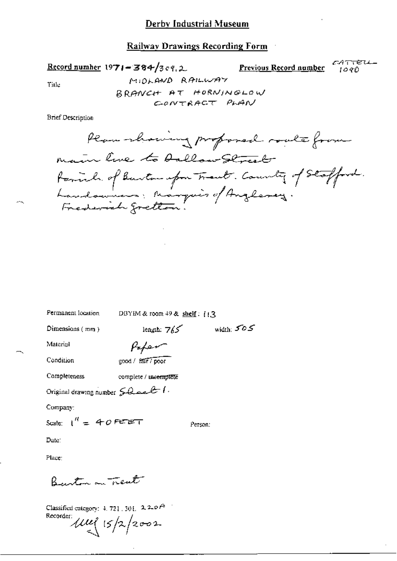**Railway Drawings Recording Form** 

CATTELL-Record number 1971-384/309.2 Previous Record number  $1090$ MIDLAND RAILWAY Title

BRANCH AT HORNINGLOW CONTRACT PLAN

**Brief Description** 

Plan -chairing proposed roads from main line to Dallow Street tariah of Barton upon Traut. County of Stofford.<br>Landowners: Marquis of Anglasey.<br>Frederich gretten.

Permanent location

DBYIM & room 49 & shelf: 113

Dimensions  $(mn)$ 

length:  $7/5$ width:  $505$ 

Material

Paper

Condition

good / fair / poor

Completeness complete / uncomplete

Original drawing number  $50$  and  $4$ .

Company:

Scale:  $1'' = 40$  FEBT

Person:

Date:

Place:

Burton on Trent

Classified category: 4, 721, 301,  $2.20$   $A$ Recorder:  $\mu u$   $(5/2/2002$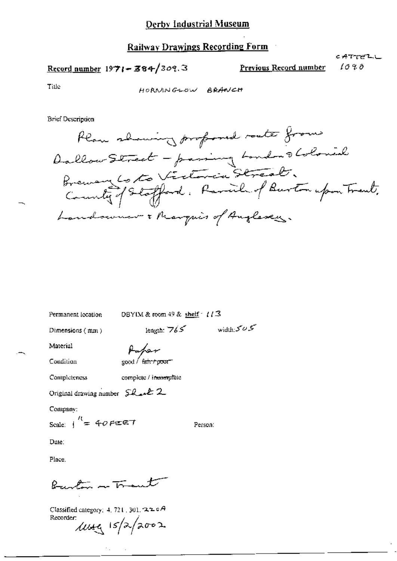Record number  $1971 - 384/309.3$ 

Previous Record number

こみててどひし 1090

Title

HORNINGLOW BRANCH

**Brief Description** 

Plan showing profond route from Dallow Street - passing London & Colonial<br>Brewary Cotto Victoria Streat.<br>County of Stofford. Parcile of Burton upon Treat. handswear . Marquis of Augleses.

Permanent location

DBYIM & room 49 & shelf  $\cdot$  ( $\sqrt{3}$ 

length:  $765$  width:  $505$ 

Person:

Dimensions (mm)

Pater

Condition

Material

 $\cos t / \sin t \cos t$ 

Completeness

complete / incomplete

Original drawing number Shealt 2

Company:

Scale:  $\frac{1}{1}$  = 40 FEET

Date:

Place.

Burlow on Trant

Classified category: 4, 721, 301, 220A Recorder:  $1049/2002$